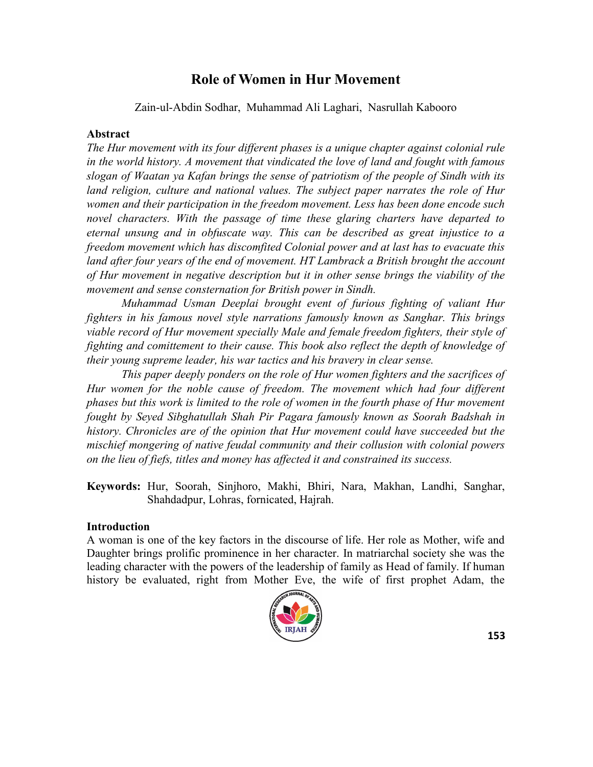# **Role of Women in Hur Movement**

Zain-ul-Abdin Sodhar, Muhammad Ali Laghari, Nasrullah Kabooro

# **Abstract**

*The Hur movement with its four different phases is a unique chapter against colonial rule in the world history. A movement that vindicated the love of land and fought with famous slogan of Waatan ya Kafan brings the sense of patriotism of the people of Sindh with its land religion, culture and national values. The subject paper narrates the role of Hur women and their participation in the freedom movement. Less has been done encode such novel characters. With the passage of time these glaring charters have departed to eternal unsung and in obfuscate way. This can be described as great injustice to a freedom movement which has discomfited Colonial power and at last has to evacuate this*  land after four years of the end of movement. HT Lambrack a British brought the account *of Hur movement in negative description but it in other sense brings the viability of the movement and sense consternation for British power in Sindh.*

*Muhammad Usman Deeplai brought event of furious fighting of valiant Hur fighters in his famous novel style narrations famously known as Sanghar. This brings viable record of Hur movement specially Male and female freedom fighters, their style of fighting and comittement to their cause. This book also reflect the depth of knowledge of their young supreme leader, his war tactics and his bravery in clear sense.*

*This paper deeply ponders on the role of Hur women fighters and the sacrifices of Hur women for the noble cause of freedom. The movement which had four different phases but this work is limited to the role of women in the fourth phase of Hur movement fought by Seyed Sibghatullah Shah Pir Pagara famously known as Soorah Badshah in history. Chronicles are of the opinion that Hur movement could have succeeded but the mischief mongering of native feudal community and their collusion with colonial powers on the lieu of fiefs, titles and money has affected it and constrained its success.*

**Keywords:** Hur, Soorah, Sinjhoro, Makhi, Bhiri, Nara, Makhan, Landhi, Sanghar, Shahdadpur, Lohras, fornicated, Hajrah.

# **Introduction**

A woman is one of the key factors in the discourse of life. Her role as Mother, wife and Daughter brings prolific prominence in her character. In matriarchal society she was the leading character with the powers of the leadership of family as Head of family. If human history be evaluated, right from Mother Eve, the wife of first prophet Adam, the

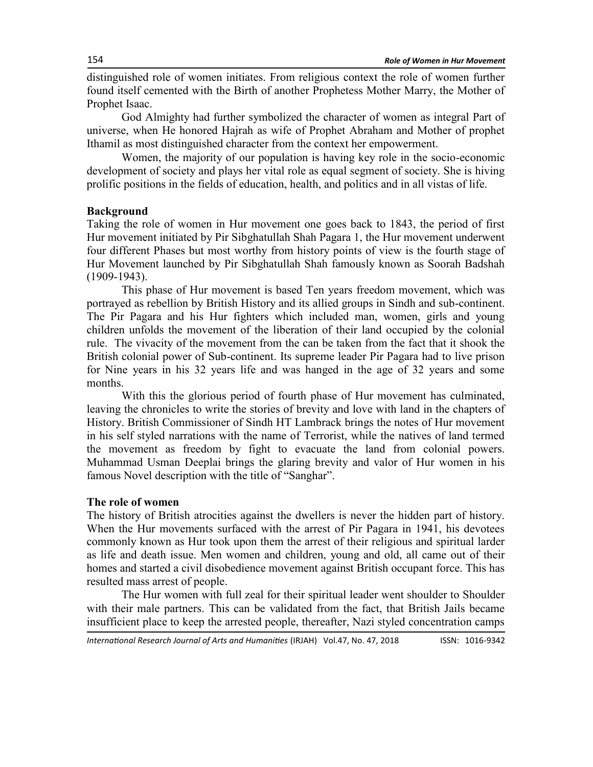distinguished role of women initiates. From religious context the role of women further found itself cemented with the Birth of another Prophetess Mother Marry, the Mother of Prophet Isaac.

God Almighty had further symbolized the character of women as integral Part of universe, when He honored Hajrah as wife of Prophet Abraham and Mother of prophet Ithamil as most distinguished character from the context her empowerment.

Women, the majority of our population is having key role in the socio-economic development of society and plays her vital role as equal segment of society. She is hiving prolific positions in the fields of education, health, and politics and in all vistas of life.

# **Background**

Taking the role of women in Hur movement one goes back to 1843, the period of first Hur movement initiated by Pir Sibghatullah Shah Pagara 1, the Hur movement underwent four different Phases but most worthy from history points of view is the fourth stage of Hur Movement launched by Pir Sibghatullah Shah famously known as Soorah Badshah (1909-1943).

This phase of Hur movement is based Ten years freedom movement, which was portrayed as rebellion by British History and its allied groups in Sindh and sub-continent. The Pir Pagara and his Hur fighters which included man, women, girls and young children unfolds the movement of the liberation of their land occupied by the colonial rule. The vivacity of the movement from the can be taken from the fact that it shook the British colonial power of Sub-continent. Its supreme leader Pir Pagara had to live prison for Nine years in his 32 years life and was hanged in the age of 32 years and some months.

With this the glorious period of fourth phase of Hur movement has culminated, leaving the chronicles to write the stories of brevity and love with land in the chapters of History. British Commissioner of Sindh HT Lambrack brings the notes of Hur movement in his self styled narrations with the name of Terrorist, while the natives of land termed the movement as freedom by fight to evacuate the land from colonial powers. Muhammad Usman Deeplai brings the glaring brevity and valor of Hur women in his famous Novel description with the title of "Sanghar".

# **The role of women**

The history of British atrocities against the dwellers is never the hidden part of history. When the Hur movements surfaced with the arrest of Pir Pagara in 1941, his devotees commonly known as Hur took upon them the arrest of their religious and spiritual larder as life and death issue. Men women and children, young and old, all came out of their homes and started a civil disobedience movement against British occupant force. This has resulted mass arrest of people.

The Hur women with full zeal for their spiritual leader went shoulder to Shoulder with their male partners. This can be validated from the fact, that British Jails became insufficient place to keep the arrested people, thereafter, Nazi styled concentration camps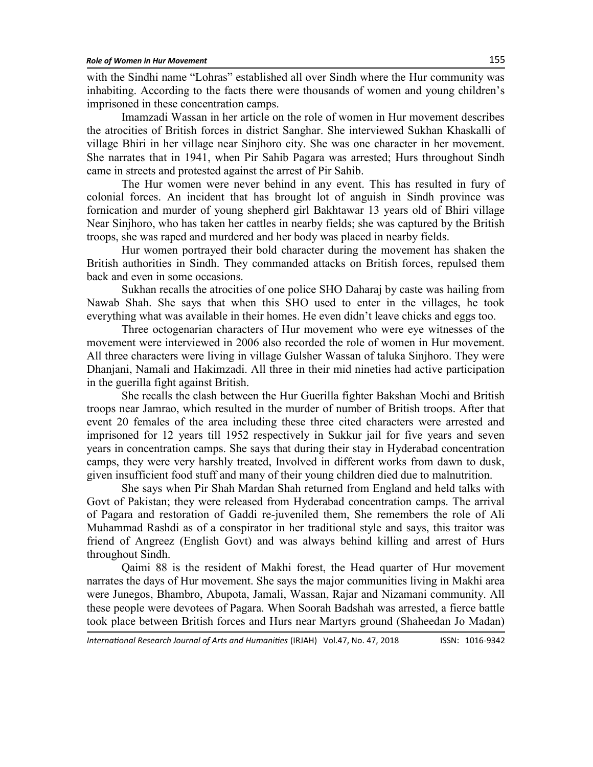with the Sindhi name "Lohras" established all over Sindh where the Hur community was inhabiting. According to the facts there were thousands of women and young children's imprisoned in these concentration camps.

Imamzadi Wassan in her article on the role of women in Hur movement describes the atrocities of British forces in district Sanghar. She interviewed Sukhan Khaskalli of village Bhiri in her village near Sinjhoro city. She was one character in her movement. She narrates that in 1941, when Pir Sahib Pagara was arrested; Hurs throughout Sindh came in streets and protested against the arrest of Pir Sahib.

The Hur women were never behind in any event. This has resulted in fury of colonial forces. An incident that has brought lot of anguish in Sindh province was fornication and murder of young shepherd girl Bakhtawar 13 years old of Bhiri village Near Sinjhoro, who has taken her cattles in nearby fields; she was captured by the British troops, she was raped and murdered and her body was placed in nearby fields.

Hur women portrayed their bold character during the movement has shaken the British authorities in Sindh. They commanded attacks on British forces, repulsed them back and even in some occasions.

Sukhan recalls the atrocities of one police SHO Daharaj by caste was hailing from Nawab Shah. She says that when this SHO used to enter in the villages, he took everything what was available in their homes. He even didn't leave chicks and eggs too.

Three octogenarian characters of Hur movement who were eye witnesses of the movement were interviewed in 2006 also recorded the role of women in Hur movement. All three characters were living in village Gulsher Wassan of taluka Sinjhoro. They were Dhanjani, Namali and Hakimzadi. All three in their mid nineties had active participation in the guerilla fight against British.

She recalls the clash between the Hur Guerilla fighter Bakshan Mochi and British troops near Jamrao, which resulted in the murder of number of British troops. After that event 20 females of the area including these three cited characters were arrested and imprisoned for 12 years till 1952 respectively in Sukkur jail for five years and seven years in concentration camps. She says that during their stay in Hyderabad concentration camps, they were very harshly treated, Involved in different works from dawn to dusk, given insufficient food stuff and many of their young children died due to malnutrition.

She says when Pir Shah Mardan Shah returned from England and held talks with Govt of Pakistan; they were released from Hyderabad concentration camps. The arrival of Pagara and restoration of Gaddi re-juveniled them, She remembers the role of Ali Muhammad Rashdi as of a conspirator in her traditional style and says, this traitor was friend of Angreez (English Govt) and was always behind killing and arrest of Hurs throughout Sindh.

Qaimi 88 is the resident of Makhi forest, the Head quarter of Hur movement narrates the days of Hur movement. She says the major communities living in Makhi area were Junegos, Bhambro, Abupota, Jamali, Wassan, Rajar and Nizamani community. All these people were devotees of Pagara. When Soorah Badshah was arrested, a fierce battle took place between British forces and Hurs near Martyrs ground (Shaheedan Jo Madan)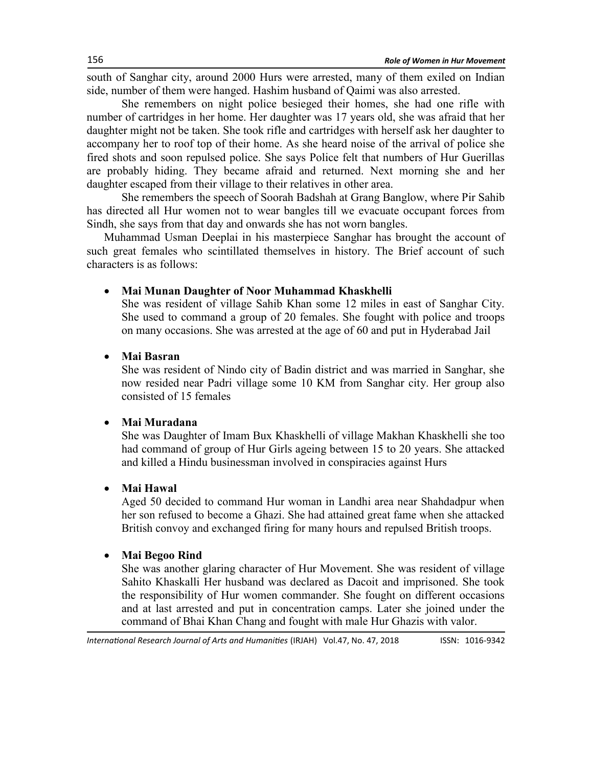south of Sanghar city, around 2000 Hurs were arrested, many of them exiled on Indian side, number of them were hanged. Hashim husband of Qaimi was also arrested.

She remembers on night police besieged their homes, she had one rifle with number of cartridges in her home. Her daughter was 17 years old, she was afraid that her daughter might not be taken. She took rifle and cartridges with herself ask her daughter to accompany her to roof top of their home. As she heard noise of the arrival of police she fired shots and soon repulsed police. She says Police felt that numbers of Hur Guerillas are probably hiding. They became afraid and returned. Next morning she and her daughter escaped from their village to their relatives in other area.

She remembers the speech of Soorah Badshah at Grang Banglow, where Pir Sahib has directed all Hur women not to wear bangles till we evacuate occupant forces from Sindh, she says from that day and onwards she has not worn bangles.

Muhammad Usman Deeplai in his masterpiece Sanghar has brought the account of such great females who scintillated themselves in history. The Brief account of such characters is as follows:

## **Mai Munan Daughter of Noor Muhammad Khaskhelli**

She was resident of village Sahib Khan some 12 miles in east of Sanghar City. She used to command a group of 20 females. She fought with police and troops on many occasions. She was arrested at the age of 60 and put in Hyderabad Jail

# **Mai Basran**

She was resident of Nindo city of Badin district and was married in Sanghar, she now resided near Padri village some 10 KM from Sanghar city. Her group also consisted of 15 females

## **Mai Muradana**

She was Daughter of Imam Bux Khaskhelli of village Makhan Khaskhelli she too had command of group of Hur Girls ageing between 15 to 20 years. She attacked and killed a Hindu businessman involved in conspiracies against Hurs

#### **Mai Hawal**

Aged 50 decided to command Hur woman in Landhi area near Shahdadpur when her son refused to become a Ghazi. She had attained great fame when she attacked British convoy and exchanged firing for many hours and repulsed British troops.

# **Mai Begoo Rind**

She was another glaring character of Hur Movement. She was resident of village Sahito Khaskalli Her husband was declared as Dacoit and imprisoned. She took the responsibility of Hur women commander. She fought on different occasions and at last arrested and put in concentration camps. Later she joined under the command of Bhai Khan Chang and fought with male Hur Ghazis with valor.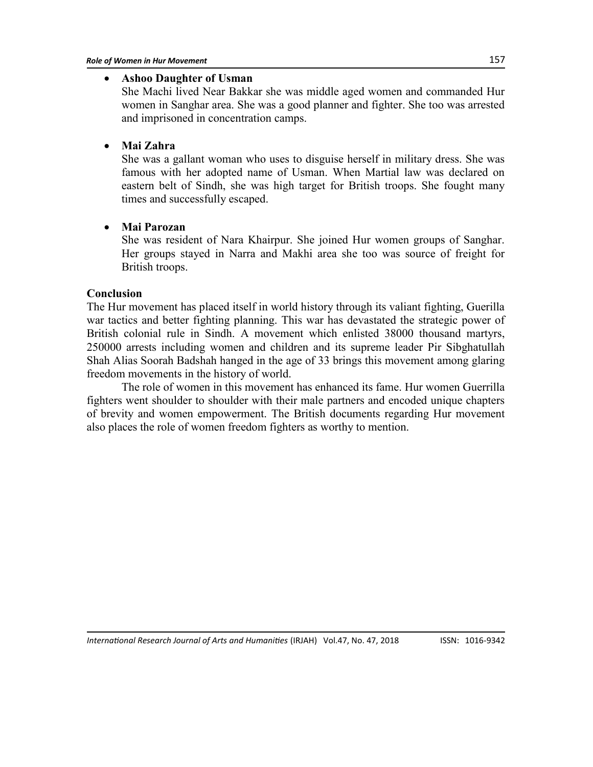## **Ashoo Daughter of Usman**

She Machi lived Near Bakkar she was middle aged women and commanded Hur women in Sanghar area. She was a good planner and fighter. She too was arrested and imprisoned in concentration camps.

# **Mai Zahra**

She was a gallant woman who uses to disguise herself in military dress. She was famous with her adopted name of Usman. When Martial law was declared on eastern belt of Sindh, she was high target for British troops. She fought many times and successfully escaped.

## **Mai Parozan**

She was resident of Nara Khairpur. She joined Hur women groups of Sanghar. Her groups stayed in Narra and Makhi area she too was source of freight for British troops.

## **Conclusion**

The Hur movement has placed itself in world history through its valiant fighting, Guerilla war tactics and better fighting planning. This war has devastated the strategic power of British colonial rule in Sindh. A movement which enlisted 38000 thousand martyrs, 250000 arrests including women and children and its supreme leader Pir Sibghatullah Shah Alias Soorah Badshah hanged in the age of 33 brings this movement among glaring freedom movements in the history of world.

The role of women in this movement has enhanced its fame. Hur women Guerrilla fighters went shoulder to shoulder with their male partners and encoded unique chapters of brevity and women empowerment. The British documents regarding Hur movement also places the role of women freedom fighters as worthy to mention.